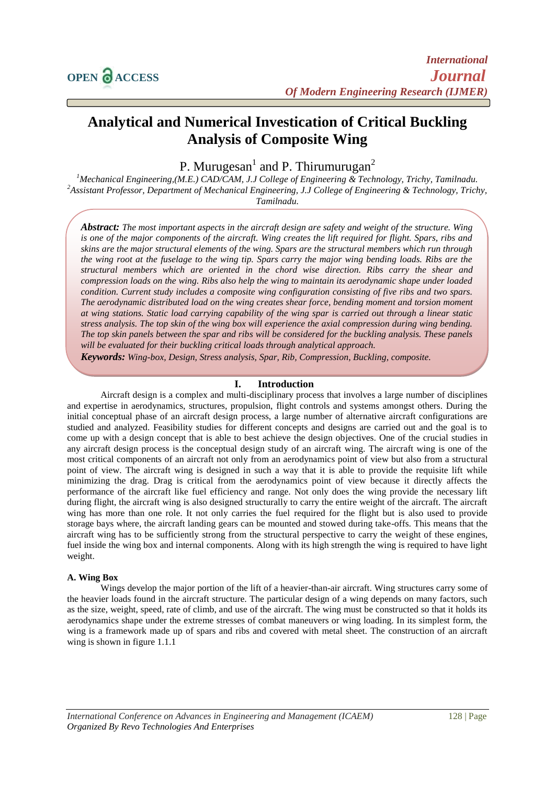# **Analytical and Numerical Investication of Critical Buckling Analysis of Composite Wing**

P. Murugesan<sup>1</sup> and P. Thirumurugan<sup>2</sup>

*<sup>1</sup>Mechanical Engineering,(M.E.) CAD/CAM, J.J College of Engineering & Technology, Trichy, Tamilnadu. <sup>2</sup>Assistant Professor, Department of Mechanical Engineering, J.J College of Engineering & Technology, Trichy, Tamilnadu.*

*Abstract: The most important aspects in the aircraft design are safety and weight of the structure. Wing is one of the major components of the aircraft. Wing creates the lift required for flight. Spars, ribs and skins are the major structural elements of the wing. Spars are the structural members which run through the wing root at the fuselage to the wing tip. Spars carry the major wing bending loads. Ribs are the structural members which are oriented in the chord wise direction. Ribs carry the shear and compression loads on the wing. Ribs also help the wing to maintain its aerodynamic shape under loaded condition. Current study includes a composite wing configuration consisting of five ribs and two spars. The aerodynamic distributed load on the wing creates shear force, bending moment and torsion moment at wing stations. Static load carrying capability of the wing spar is carried out through a linear static stress analysis. The top skin of the wing box will experience the axial compression during wing bending. The top skin panels between the spar and ribs will be considered for the buckling analysis. These panels will be evaluated for their buckling critical loads through analytical approach.* 

*Keywords: Wing-box, Design, Stress analysis, Spar, Rib, Compression, Buckling, composite.*

## **I. Introduction**

Aircraft design is a complex and multi-disciplinary process that involves a large number of disciplines and expertise in aerodynamics, structures, propulsion, flight controls and systems amongst others. During the initial conceptual phase of an aircraft design process, a large number of alternative aircraft configurations are studied and analyzed. Feasibility studies for different concepts and designs are carried out and the goal is to come up with a design concept that is able to best achieve the design objectives. One of the crucial studies in any aircraft design process is the conceptual design study of an aircraft wing. The aircraft wing is one of the most critical components of an aircraft not only from an aerodynamics point of view but also from a structural point of view. The aircraft wing is designed in such a way that it is able to provide the requisite lift while minimizing the drag. Drag is critical from the aerodynamics point of view because it directly affects the performance of the aircraft like fuel efficiency and range. Not only does the wing provide the necessary lift during flight, the aircraft wing is also designed structurally to carry the entire weight of the aircraft. The aircraft wing has more than one role. It not only carries the fuel required for the flight but is also used to provide storage bays where, the aircraft landing gears can be mounted and stowed during take-offs. This means that the aircraft wing has to be sufficiently strong from the structural perspective to carry the weight of these engines, fuel inside the wing box and internal components. Along with its high strength the wing is required to have light weight.

#### **A. Wing Box**

Wings develop the major portion of the lift of a heavier-than-air aircraft. Wing structures carry some of the heavier loads found in the aircraft structure. The particular design of a wing depends on many factors, such as the size, weight, speed, rate of climb, and use of the aircraft. The wing must be constructed so that it holds its aerodynamics shape under the extreme stresses of combat maneuvers or wing loading. In its simplest form, the wing is a framework made up of spars and ribs and covered with metal sheet. The construction of an aircraft wing is shown in figure 1.1.1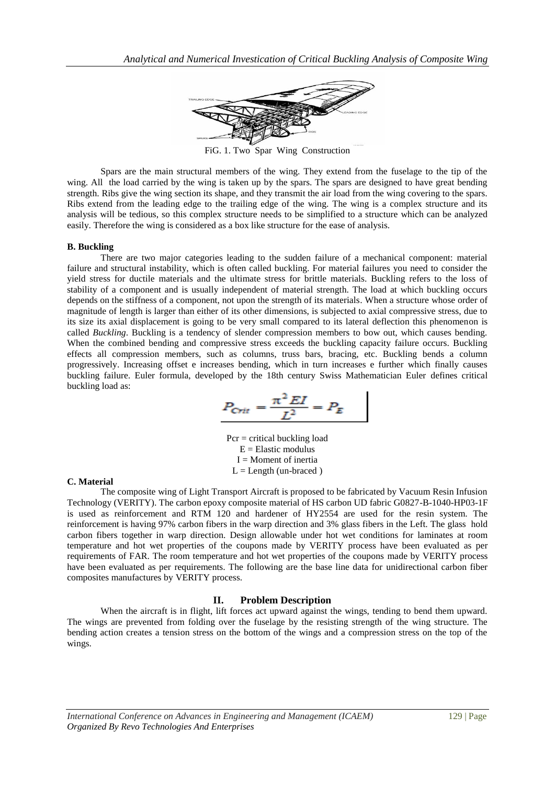

FiG. 1. Two Spar Wing Construction

Spars are the main structural members of the wing. They extend from the fuselage to the tip of the wing. All the load carried by the wing is taken up by the spars. The spars are designed to have great bending strength. Ribs give the wing section its shape, and they transmit the air load from the wing covering to the spars. Ribs extend from the leading edge to the trailing edge of the wing. The wing is a complex structure and its analysis will be tedious, so this complex structure needs to be simplified to a structure which can be analyzed easily. Therefore the wing is considered as a box like structure for the ease of analysis.

#### **B. Buckling**

There are two major categories leading to the sudden failure of a mechanical component: material failure and structural instability, which is often called buckling. For material failures you need to consider the yield stress for ductile materials and the ultimate stress for brittle materials. Buckling refers to the loss of stability of a component and is usually independent of material strength. The load at which buckling occurs depends on the stiffness of a component, not upon the strength of its materials. When a structure whose order of magnitude of length is larger than either of its other dimensions, is subjected to axial compressive stress, due to its size its axial displacement is going to be very small compared to its lateral deflection this phenomenon is called *Buckling*. Buckling is a tendency of slender compression members to bow out, which causes bending. When the combined bending and compressive stress exceeds the buckling capacity failure occurs. Buckling effects all compression members, such as columns, truss bars, bracing, etc. Buckling bends a column progressively. Increasing offset e increases bending, which in turn increases e further which finally causes buckling failure. Euler formula, developed by the 18th century Swiss Mathematician Euler defines critical buckling load as:

$$
P_{\text{Crit}} = \frac{\pi^2 \, EI}{L^2} = P_E
$$

Pcr = critical buckling load  $E =$ Elastic modulus  $I =$ Moment of inertia  $L =$ Length (un-braced)

#### **C. Material**

The composite wing of Light Transport Aircraft is proposed to be fabricated by Vacuum Resin Infusion Technology (VERITY). The carbon epoxy composite material of HS carbon UD fabric G0827-B-1040-HP03-1F is used as reinforcement and RTM 120 and hardener of HY2554 are used for the resin system. The reinforcement is having 97% carbon fibers in the warp direction and 3% glass fibers in the Left. The glass hold carbon fibers together in warp direction. Design allowable under hot wet conditions for laminates at room temperature and hot wet properties of the coupons made by VERITY process have been evaluated as per requirements of FAR. The room temperature and hot wet properties of the coupons made by VERITY process have been evaluated as per requirements. The following are the base line data for unidirectional carbon fiber composites manufactures by VERITY process.

## **II. Problem Description**

When the aircraft is in flight, lift forces act upward against the wings, tending to bend them upward. The wings are prevented from folding over the fuselage by the resisting strength of the wing structure. The bending action creates a tension stress on the bottom of the wings and a compression stress on the top of the wings.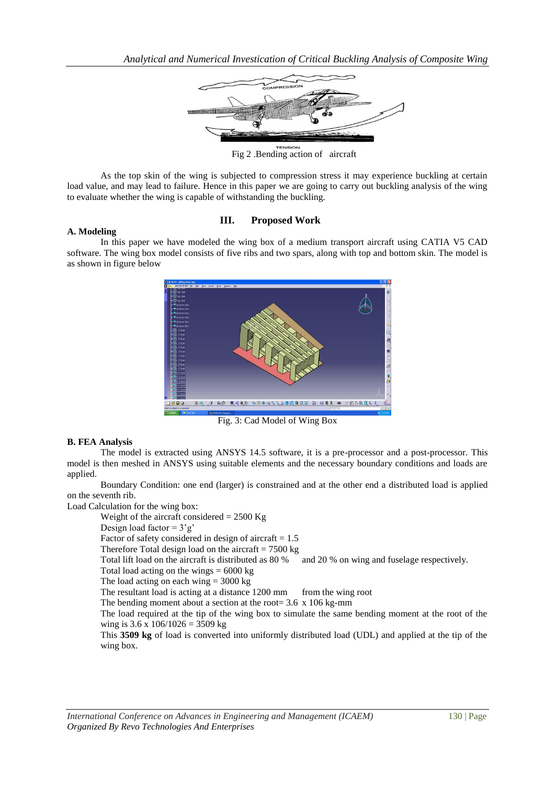

Fig 2 .Bending action of aircraft

As the top skin of the wing is subjected to compression stress it may experience buckling at certain load value, and may lead to failure. Hence in this paper we are going to carry out buckling analysis of the wing to evaluate whether the wing is capable of withstanding the buckling.

# **III. Proposed Work**

### **A. Modeling**

In this paper we have modeled the wing box of a medium transport aircraft using CATIA V5 CAD software. The wing box model consists of five ribs and two spars, along with top and bottom skin. The model is as shown in figure below



Fig. 3: Cad Model of Wing Box

## **B. FEA Analysis**

The model is extracted using ANSYS 14.5 software, it is a pre-processor and a post-processor. This model is then meshed in ANSYS using suitable elements and the necessary boundary conditions and loads are applied.

Boundary Condition: one end (larger) is constrained and at the other end a distributed load is applied on the seventh rib.

Load Calculation for the wing box: Weight of the aircraft considered  $= 2500$  Kg Design load factor =  $3'g'$ Factor of safety considered in design of aircraft  $= 1.5$ Therefore Total design load on the aircraft  $= 7500 \text{ kg}$ Total lift load on the aircraft is distributed as 80 % and 20 % on wing and fuselage respectively. Total load acting on the wings  $= 6000 \text{ kg}$ The load acting on each wing  $= 3000 \text{ kg}$ The resultant load is acting at a distance 1200 mm from the wing root The bending moment about a section at the root= 3.6 x 106 kg-mm The load required at the tip of the wing box to simulate the same bending moment at the root of the wing is  $3.6 \times 106/1026 = 3509 \text{ kg}$ This **3509 kg** of load is converted into uniformly distributed load (UDL) and applied at the tip of the wing box.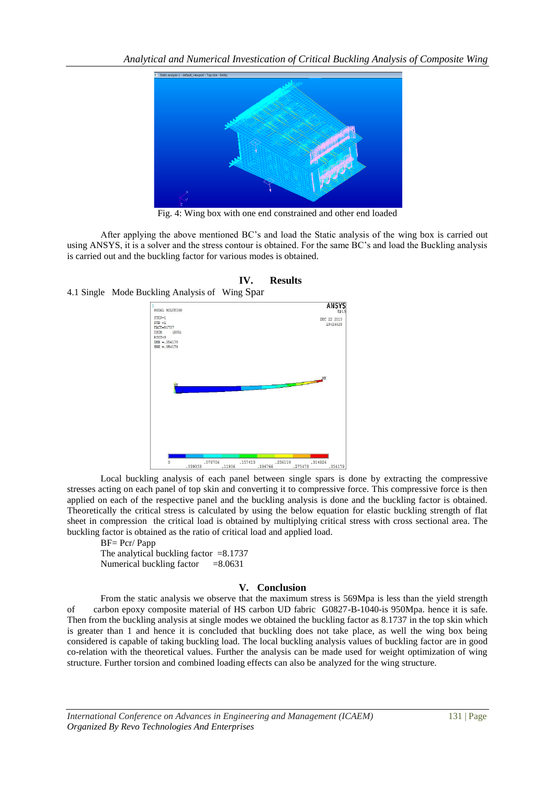

Fig. 4: Wing box with one end constrained and other end loaded

After applying the above mentioned BC's and load the Static analysis of the wing box is carried out using ANSYS, it is a solver and the stress contour is obtained. For the same BC's and load the Buckling analysis is carried out and the buckling factor for various modes is obtained.



**IV. Results** 4.1 Single Mode Buckling Analysis of Wing Spar

Local buckling analysis of each panel between single spars is done by extracting the compressive stresses acting on each panel of top skin and converting it to compressive force. This compressive force is then applied on each of the respective panel and the buckling analysis is done and the buckling factor is obtained. Theoretically the critical stress is calculated by using the below equation for elastic buckling strength of flat sheet in compression the critical load is obtained by multiplying critical stress with cross sectional area. The buckling factor is obtained as the ratio of critical load and applied load.

BF= Pcr/ Papp

The analytical buckling factor  $=8.1737$ Numerical buckling factor  $=8.0631$ 

## **V. Conclusion**

From the static analysis we observe that the maximum stress is 569Mpa is less than the yield strength of carbon epoxy composite material of HS carbon UD fabric G0827-B-1040-is 950Mpa. hence it is safe. Then from the buckling analysis at single modes we obtained the buckling factor as 8.1737 in the top skin which is greater than 1 and hence it is concluded that buckling does not take place, as well the wing box being considered is capable of taking buckling load. The local buckling analysis values of buckling factor are in good co-relation with the theoretical values. Further the analysis can be made used for weight optimization of wing structure. Further torsion and combined loading effects can also be analyzed for the wing structure.